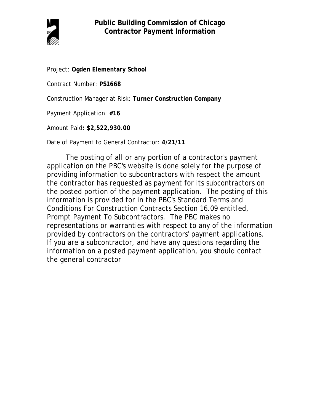

Project: **Ogden Elementary School**

Contract Number: **PS1668**

Construction Manager at Risk: **Turner Construction Company**

Payment Application: **#16**

Amount Paid**: \$2,522,930.00**

Date of Payment to General Contractor: **4/21/11**

The posting of all or any portion of a contractor's payment application on the PBC's website is done solely for the purpose of providing information to subcontractors with respect the amount the contractor has requested as payment for its subcontractors on the posted portion of the payment application. The posting of this information is provided for in the PBC's Standard Terms and Conditions For Construction Contracts Section 16.09 entitled, Prompt Payment To Subcontractors. The PBC makes no representations or warranties with respect to any of the information provided by contractors on the contractors' payment applications. If you are a subcontractor, and have any questions regarding the information on a posted payment application, you should contact the general contractor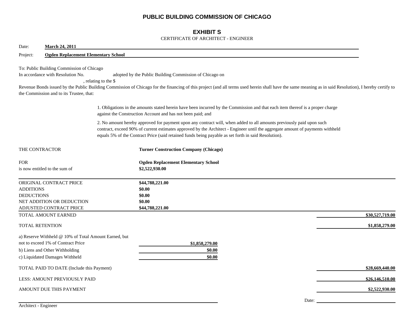## **PUBLIC BUILDING COMMISSION OF CHICAGO**

## **EXHIBIT S**

#### CERTIFICATE OF ARCHITECT - ENGINEER

| <b>March 24, 2011</b><br>Date:                                                                                                                                  |                                                                                                                                                                                                                                                                                                                                                                |
|-----------------------------------------------------------------------------------------------------------------------------------------------------------------|----------------------------------------------------------------------------------------------------------------------------------------------------------------------------------------------------------------------------------------------------------------------------------------------------------------------------------------------------------------|
| <b>Ogden Replacement Elementary School</b><br>Project:                                                                                                          |                                                                                                                                                                                                                                                                                                                                                                |
| To: Public Building Commission of Chicago<br>In accordance with Resolution No.<br>the Commission and to its Trustee, that:                                      | adopted by the Public Building Commission of Chicago on<br>, relating to the \$<br>Revenue Bonds issued by the Public Building Commission of Chicago for the financing of this project (and all terms used herein shall have the same meaning as in said Resolution), I hereby certify to                                                                      |
|                                                                                                                                                                 | 1. Obligations in the amounts stated herein have been incurred by the Commission and that each item thereof is a proper charge<br>against the Construction Account and has not been paid; and                                                                                                                                                                  |
|                                                                                                                                                                 | 2. No amount hereby approved for payment upon any contract will, when added to all amounts previously paid upon such<br>contract, exceed 90% of current estimates approved by the Architect - Engineer until the aggregate amount of payments withheld<br>equals 5% of the Contract Price (said retained funds being payable as set forth in said Resolution). |
| THE CONTRACTOR                                                                                                                                                  | <b>Turner Construction Company (Chicago)</b>                                                                                                                                                                                                                                                                                                                   |
| <b>FOR</b><br>is now entitled to the sum of                                                                                                                     | <b>Ogden Replacement Elementary School</b><br>\$2,522,930.00                                                                                                                                                                                                                                                                                                   |
| ORIGINAL CONTRACT PRICE<br><b>ADDITIONS</b><br><b>DEDUCTIONS</b><br>NET ADDITION OR DEDUCTION<br>ADJUSTED CONTRACT PRICE                                        | \$44,788,221.00<br>\$0.00<br>\$0.00<br>\$0.00<br>\$44,788,221.00                                                                                                                                                                                                                                                                                               |
| TOTAL AMOUNT EARNED                                                                                                                                             | \$30,527,719.00                                                                                                                                                                                                                                                                                                                                                |
| <b>TOTAL RETENTION</b>                                                                                                                                          | \$1,858,279.00                                                                                                                                                                                                                                                                                                                                                 |
| a) Reserve Withheld @ 10% of Total Amount Earned, but<br>not to exceed 1% of Contract Price<br>b) Liens and Other Withholding<br>c) Liquidated Damages Withheld | \$1,858,279.00<br>\$0.00<br>\$0.00                                                                                                                                                                                                                                                                                                                             |
| TOTAL PAID TO DATE (Include this Payment)                                                                                                                       | \$28,669,440.00                                                                                                                                                                                                                                                                                                                                                |
| LESS: AMOUNT PREVIOUSLY PAID                                                                                                                                    | \$26,146,510.00                                                                                                                                                                                                                                                                                                                                                |
| AMOUNT DUE THIS PAYMENT                                                                                                                                         | \$2,522,930.00                                                                                                                                                                                                                                                                                                                                                 |
| Architect - Engineer                                                                                                                                            | Date: $\_\_$                                                                                                                                                                                                                                                                                                                                                   |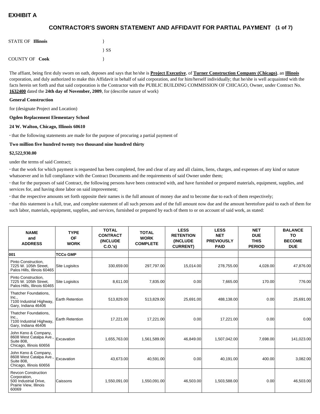## **(1 of 7) CONTRACTOR'S SWORN STATEMENT AND AFFIDAVIT FOR PARTIAL PAYMENT**

| <b>STATE OF Illinois</b> |          |
|--------------------------|----------|
|                          | $\{SS\}$ |
| <b>COUNTY OF Cook</b>    |          |

The affiant, being first duly sworn on oath, deposes and says that he/she is **Project Executive**, of **Turner Construction Company (Chicago)**, an **Illinois** corporation, and duly authorized to make this Affidavit in behalf of said corporation, and for him/herself individually; that he/she is well acquainted with the facts herein set forth and that said corporation is the Contractor with the PUBLIC BUILDING COMMISSION OF CHICAGO, Owner, under Contract No. **1632400** dated the **24th day of November, 2009**, for (describe nature of work)

#### **General Construction**

for (designate Project and Location)

#### **Ogden Replacement Elementary School**

#### **24 W. Walton, Chicago, Illinois 60610**

**·** that the following statements are made for the purpose of procuring a partial payment of

#### **Two million five hundred twenty two thousand nine hundred thirty**

#### **\$2,522,930.00**

under the terms of said Contract;

**·** that the work for which payment is requested has been completed, free and clear of any and all claims, liens, charges, and expenses of any kind or nature whatsoever and in full compliance with the Contract Documents and the requirements of said Owner under them;

**·** that for the purposes of said Contract, the following persons have been contracted with, and have furnished or prepared materials, equipment, supplies, and services for, and having done labor on said improvement;

**·** that the respective amounts set forth opposite their names is the full amount of money due and to become due to each of them respectively;

**·** that this statement is a full, true, and complete statement of all such persons and of the full amount now due and the amount heretofore paid to each of them for such labor, materials, equipment, supplies, and services, furnished or prepared by each of them to or on account of said work, as stated:

| <b>NAME</b><br>and<br><b>ADDRESS</b>                                                                   | <b>TYPE</b><br><b>OF</b><br><b>WORK</b> | <b>TOTAL</b><br><b>CONTRACT</b><br><b>(INCLUDE)</b><br>C.0.'s) | <b>TOTAL</b><br><b>WORK</b><br><b>COMPLETE</b> | <b>LESS</b><br><b>RETENTION</b><br><b>(INCLUDE</b><br><b>CURRENT)</b> | <b>LESS</b><br><b>NET</b><br><b>PREVIOUSLY</b><br><b>PAID</b> | <b>NET</b><br><b>DUE</b><br><b>THIS</b><br><b>PERIOD</b> | <b>BALANCE</b><br>TO<br><b>BECOME</b><br><b>DUE</b> |
|--------------------------------------------------------------------------------------------------------|-----------------------------------------|----------------------------------------------------------------|------------------------------------------------|-----------------------------------------------------------------------|---------------------------------------------------------------|----------------------------------------------------------|-----------------------------------------------------|
| 001                                                                                                    | <b>TCCo GMP</b>                         |                                                                |                                                |                                                                       |                                                               |                                                          |                                                     |
| Pinto Construction,<br>7225 W. 105th Street,<br>Palos Hills, Illinois 60465                            | <b>Site Logisitcs</b>                   | 330,659.00                                                     | 297,797.00                                     | 15,014.00                                                             | 278,755.00                                                    | 4,028.00                                                 | 47,876.00                                           |
| Pinto Construction,<br>7225 W. 105th Street.<br>Palos Hills, Illinois 60465                            | <b>Site Logisitcs</b>                   | 8,611.00                                                       | 7,835.00                                       | 0.00                                                                  | 7,665.00                                                      | 170.00                                                   | 776.00                                              |
| Thatcher Foundations,<br>Inc.,<br>7100 Industrial Highway,<br>Gary, Indiana 46406                      | <b>Earth Retention</b>                  | 513,829.00                                                     | 513,829.00                                     | 25,691.00                                                             | 488,138.00                                                    | 0.00                                                     | 25,691.00                                           |
| Thatcher Foundations,<br>Inc.,<br>7100 Industrial Highway,<br>Gary, Indiana 46406                      | <b>Earth Retention</b>                  | 17,221.00                                                      | 17,221.00                                      | 0.00                                                                  | 17,221.00                                                     | 0.00                                                     | 0.00                                                |
| John Keno & Company,<br>8608 West Catalpa Ave.,<br><b>Suite 808.</b><br>Chicago, Illinois 60656        | Excavation                              | 1,655,763.00                                                   | 1,561,589.00                                   | 46.849.00                                                             | 1,507,042.00                                                  | 7.698.00                                                 | 141,023.00                                          |
| John Keno & Company,<br>8608 West Catalpa Ave.,<br><b>Suite 808.</b><br>Chicago, Illinois 60656        | Excavation                              | 43.673.00                                                      | 40,591.00                                      | 0.00                                                                  | 40.191.00                                                     | 400.00                                                   | 3,082.00                                            |
| <b>Revcon Construction</b><br>Corporation,<br>500 Industrial Drive,<br>Prairie View, Illinois<br>60069 | Caissons                                | 1,550,091.00                                                   | 1,550,091.00                                   | 46,503.00                                                             | 1,503,588.00                                                  | 0.00                                                     | 46,503.00                                           |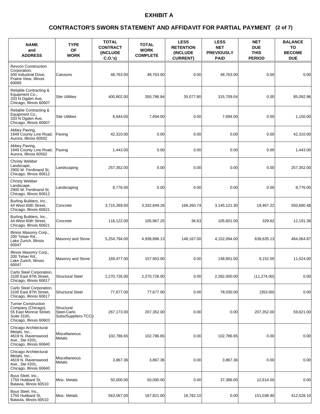### **(2 of 7) CONTRACTOR'S SWORN STATEMENT AND AFFIDAVIT FOR PARTIAL PAYMENT**

| <b>NAME</b><br>and<br><b>ADDRESS</b>                                                                                 | <b>TYPE</b><br><b>OF</b><br><b>WORK</b>          | <b>TOTAL</b><br><b>CONTRACT</b><br><b>(INCLUDE)</b><br>C.O.'s | <b>TOTAL</b><br><b>WORK</b><br><b>COMPLETE</b> | <b>LESS</b><br><b>RETENTION</b><br><b>(INCLUDE)</b><br><b>CURRENT)</b> | <b>LESS</b><br><b>NET</b><br><b>PREVIOUSLY</b><br><b>PAID</b> | <b>NET</b><br><b>DUE</b><br><b>THIS</b><br><b>PERIOD</b> | <b>BALANCE</b><br>TO<br><b>BECOME</b><br><b>DUE</b> |
|----------------------------------------------------------------------------------------------------------------------|--------------------------------------------------|---------------------------------------------------------------|------------------------------------------------|------------------------------------------------------------------------|---------------------------------------------------------------|----------------------------------------------------------|-----------------------------------------------------|
| <b>Revcon Construction</b><br>Corporation,<br>500 Industrial Drive,<br>Prairie View, Illinois<br>60069               | Caissons                                         | 48,763.00                                                     | 48,763.00                                      | 0.00                                                                   | 48.763.00                                                     | 0.00                                                     | 0.00                                                |
| Reliable Contracting &<br>Equipment Co.,<br>333 N Ogden Ave.<br>Chicago, Illinois 60607                              | <b>Site Utilities</b>                            | 400,802.00                                                    | 350,786.84                                     | 35,077.80                                                              | 315.709.04                                                    | 0.00                                                     | 85,092.96                                           |
| Reliable Contracting &<br>Equipment Co.,<br>333 N Ogden Ave,<br>Chicago, Illinois 60607                              | <b>Site Utilities</b>                            | 8,844.00                                                      | 7,694.00                                       | 0.00                                                                   | 7,694.00                                                      | 0.00                                                     | 1,150.00                                            |
| Abbey Paving,<br>1949 County Line Road,<br>Aurora, Illinois 60502                                                    | Paving                                           | 42,310.00                                                     | 0.00                                           | 0.00                                                                   | 0.00                                                          | 0.00                                                     | 42,310.00                                           |
| Abbey Paving,<br>1949 County Line Road,<br>Aurora. Illinois 60502                                                    | Paving                                           | 1,443.00                                                      | 0.00                                           | 0.00                                                                   | 0.00                                                          | 0.00                                                     | 1,443.00                                            |
| <b>Christy Webber</b><br>Landscape,<br>2900 W. Ferdinand St.<br>Chicago, Illinois 60612                              | Landscaping                                      | 257,352.00                                                    | 0.00                                           | 0.00                                                                   | 0.00                                                          | 0.00                                                     | 257,352.00                                          |
| <b>Christy Webber</b><br>Landscape,<br>2900 W. Ferdinand St,<br>Chicago, Illinois 60612                              | Landscaping                                      | 8,776.00                                                      | 0.00                                           | 0.00                                                                   | 0.00                                                          | 0.00                                                     | 8,776.00                                            |
| Burling Builders, Inc.,<br>44 West 60th Street,<br>Chicago, Illinois 60621                                           | Concrete                                         | 3,715,269.00                                                  | 3,332,849.26                                   | 168,260.74                                                             | 3,145,121.30                                                  | 19,467.22                                                | 550,680.48                                          |
| Burling Builders, Inc.,<br>44 West 60th Street,<br>Chicago, Illinois 60621                                           | Concrete                                         | 118,122.00                                                    | 105,967.25                                     | 36.63                                                                  | 105,601.00                                                    | 329.62                                                   | 12,191.38                                           |
| Illinois Masonry Corp.,<br>200 Telser Rd.,<br>Lake Zurich, Illinois<br>60047                                         | Masonry and Stone                                | 5,254,794.00                                                  | 4,938,896.13                                   | 148,167.00                                                             | 4,152,094.00                                                  | 638,635.13                                               | 464,064.87                                          |
| Illinois Masonry Corp.,<br>200 Telser Rd<br>Lake Zurich, Illinois<br>60047                                           | Masonry and Stone                                | 169,477.00                                                    | 157,953.00                                     | 0.00                                                                   | 148,801.00                                                    | 9,152.00                                                 | 11,524.00                                           |
| Carlo Steel Corporation,<br>3100 East 87th Street,<br>Chicago, Illinois 60617                                        | <b>Structural Steel</b>                          | 2,270,726.00                                                  | 2,270,726.00                                   | 0.00                                                                   | 2,282,000.00                                                  | (11, 274.00)                                             | 0.00                                                |
| Carlo Steel Corporation,<br>3100 East 87th Street,<br>Chicago, Illinois 60617                                        | <b>Structural Steel</b>                          | 77,677.00                                                     | 77,677.00                                      | 0.00                                                                   | 78.030.00                                                     | (353.00)                                                 | 0.00                                                |
| <b>Turner Construction</b><br>Company (Chicago),<br>55 East Monroe Street,<br>Suite 3100,<br>Chicago, Illinois 60603 | Structural<br>Steel-Carlo<br>Subs/Suppliers-TCCb | 267,173.00                                                    | 207,352.00                                     | 0.00                                                                   | 0.00                                                          | 207,352.00                                               | 59,821.00                                           |
| Chicago Architectural<br>Metals, Inc.,<br>4619 N. Ravenswood<br>Ave., Ste #201,<br>Chicago, Illinois 60640           | Miscellaneous<br><b>Metals</b>                   | 102,786.65                                                    | 102,786.65                                     | 0.00                                                                   | 102,786.65                                                    | 0.00                                                     | 0.00                                                |
| Chicago Architectural<br>Metals, Inc.,<br>4619 N. Ravenswood<br>Ave., Ste #201,<br>Chicago, Illinois 60640           | Miscellaneous<br>Metals                          | 3,867.36                                                      | 3,867.36                                       | 0.00                                                                   | 3,867.36                                                      | 0.00                                                     | 0.00                                                |
| Byus Steel, Inc.,<br>1750 Hubbard St.<br>Batavia, Illinois 60510                                                     | Misc. Metals                                     | 50,000.00                                                     | 50,000.00                                      | 0.00                                                                   | 37,386.00                                                     | 12,614.00                                                | 0.00                                                |
| Byus Steel, Inc.,<br>1750 Hubbard St.<br>Batavia, Illinois 60510                                                     | Misc. Metals                                     | 563,567.00                                                    | 167,821.00                                     | 16,782.10                                                              | 0.00                                                          | 151,038.90                                               | 412,528.10                                          |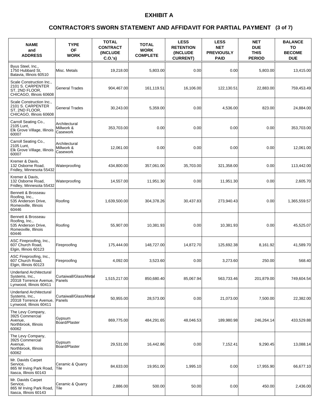### **(3 of 7) CONTRACTOR'S SWORN STATEMENT AND AFFIDAVIT FOR PARTIAL PAYMENT**

| <b>NAME</b><br>and<br><b>ADDRESS</b>                                                                  | <b>TYPE</b><br>OF<br><b>WORK</b>        | <b>TOTAL</b><br><b>CONTRACT</b><br><b>(INCLUDE)</b><br>$C.O.'s$ ) | <b>TOTAL</b><br><b>WORK</b><br><b>COMPLETE</b> | <b>LESS</b><br><b>RETENTION</b><br><b>(INCLUDE)</b><br><b>CURRENT)</b> | <b>LESS</b><br><b>NET</b><br><b>PREVIOUSLY</b><br><b>PAID</b> | <b>NET</b><br><b>DUE</b><br><b>THIS</b><br><b>PERIOD</b> | <b>BALANCE</b><br>TO<br><b>BECOME</b><br><b>DUE</b> |
|-------------------------------------------------------------------------------------------------------|-----------------------------------------|-------------------------------------------------------------------|------------------------------------------------|------------------------------------------------------------------------|---------------------------------------------------------------|----------------------------------------------------------|-----------------------------------------------------|
| Byus Steel, Inc.,<br>1750 Hubbard St,<br>Batavia, Illinois 60510                                      | Misc. Metals                            | 19,218.00                                                         | 5,803.00                                       | 0.00                                                                   | 0.00                                                          | 5,803.00                                                 | 13,415.00                                           |
| Scale Construction Inc.,<br>2101 S. CARPENTER<br>ST, 2ND FLOOR,<br>CHICAGO. Illinois 60608            | General Trades                          | 904.467.00                                                        | 161,119.51                                     | 16,106.00                                                              | 122,130.51                                                    | 22.883.00                                                | 759,453.49                                          |
| Scale Construction Inc.,<br>2101 S. CARPENTER<br>ST. 2ND FLOOR.<br>CHICAGO, Illinois 60608            | General Trades                          | 30,243.00                                                         | 5,359.00                                       | 0.00                                                                   | 4,536.00                                                      | 823.00                                                   | 24.884.00                                           |
| Carroll Seating Co.,<br>2105 Lunt,<br>Elk Grove Village, Illinois<br>60007                            | Architectural<br>Millwork &<br>Casework | 353,703.00                                                        | 0.00                                           | 0.00                                                                   | 0.00                                                          | 0.00                                                     | 353,703.00                                          |
| Carroll Seating Co.,<br>2105 Lunt,<br>Elk Grove Village, Illinois<br>60007                            | Architectural<br>Millwork &<br>Casework | 12,061.00                                                         | 0.00                                           | 0.00                                                                   | 0.00                                                          | 0.00                                                     | 12,061.00                                           |
| Kremer & Davis,<br>132 Osborne Road,<br>Fridley, Minnesota 55432                                      | Waterproofing                           | 434,800.00                                                        | 357,061.00                                     | 35,703.00                                                              | 321,358.00                                                    | 0.00                                                     | 113,442.00                                          |
| Kremer & Davis,<br>132 Osborne Road.<br>Fridley, Minnesota 55432                                      | Waterproofing                           | 14,557.00                                                         | 11,951.30                                      | 0.00                                                                   | 11,951.30                                                     | 0.00                                                     | 2,605.70                                            |
| Bennett & Brosseau<br>Roofing, Inc.,<br>535 Anderson Drive,<br>Romeoville, Illinois<br>60446          | Roofing                                 | 1,639,500.00                                                      | 304,378.26                                     | 30,437.83                                                              | 273,940.43                                                    | 0.00                                                     | 1,365,559.57                                        |
| Bennett & Brosseau<br>Roofing, Inc.,<br>535 Anderson Drive,<br>Romeoville, Illinois<br>60446          | Roofing                                 | 55,907.00                                                         | 10,381.93                                      | 0.00                                                                   | 10,381.93                                                     | 0.00                                                     | 45,525.07                                           |
| ASC Fireproofing, Inc.,<br>607 Church Road,<br>Elgin, Illinois 60123                                  | Fireproofing                            | 175,444.00                                                        | 148,727.00                                     | 14,872.70                                                              | 125,692.38                                                    | 8,161.92                                                 | 41,589.70                                           |
| ASC Fireproofing, Inc.,<br>607 Church Road.<br>Elgin, Illinois 60123                                  | Fireproofing                            | 4,092.00                                                          | 3,523.60                                       | 0.00                                                                   | 3,273.60                                                      | 250.00                                                   | 568.40                                              |
| Underland Architectural<br>Systems, Inc.,<br>20318 Torrence Avenue,<br>Lynwood, Illinois 60411        | Curtaiwall/Glass/Metal<br>Panels        | 1,515,217.00                                                      | 850,680.40                                     | 85,067.94                                                              | 563,733.46                                                    | 201,879.00                                               | 749,604.54                                          |
| <b>Underland Architectural</b><br>Systems, Inc.,<br>20318 Torrence Avenue.<br>Lynwood, Illinois 60411 | Curtaiwall/Glass/Metal<br>Panels        | 50,955.00                                                         | 28,573.00                                      | 0.00                                                                   | 21,073.00                                                     | 7,500.00                                                 | 22,382.00                                           |
| The Levy Company,<br>3925 Commercial<br>Avenue,<br>Northbrook, Illinois<br>60062                      | Gypsum<br>Board/Plaster                 | 869,775.00                                                        | 484,291.65                                     | 48,046.53                                                              | 189,980.98                                                    | 246,264.14                                               | 433,529.88                                          |
| The Levy Company,<br>3925 Commercial<br>Avenue,<br>Northbrook, Illinois<br>60062                      | Gypsum<br>Board/Plaster                 | 29,531.00                                                         | 16,442.86                                      | 0.00                                                                   | 7,152.41                                                      | 9,290.45                                                 | 13,088.14                                           |
| Mr. Davids Carpet<br>Service,<br>865 W Irving Park Road,<br>Itasca, Illinois 60143                    | Ceramic & Quarry<br> Tile               | 84,633.00                                                         | 19,951.00                                      | 1,995.10                                                               | 0.00                                                          | 17,955.90                                                | 66,677.10                                           |
| Mr. Davids Carpet<br>Service,<br>865 W Irving Park Road,<br>Itasca, Illinois 60143                    | Ceramic & Quarry<br>Tile                | 2,886.00                                                          | 500.00                                         | 50.00                                                                  | 0.00                                                          | 450.00                                                   | 2,436.00                                            |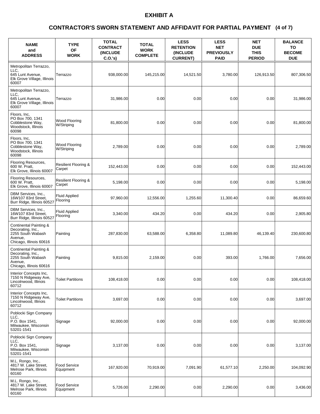### **(4 of 7) CONTRACTOR'S SWORN STATEMENT AND AFFIDAVIT FOR PARTIAL PAYMENT**

| <b>NAME</b><br>and<br><b>ADDRESS</b>                                                                   | <b>TYPE</b><br>OF<br><b>WORK</b>          | <b>TOTAL</b><br><b>CONTRACT</b><br><b>(INCLUDE)</b><br>$C.O.'s$ ) | <b>TOTAL</b><br><b>WORK</b><br><b>COMPLETE</b> | <b>LESS</b><br><b>RETENTION</b><br><b>(INCLUDE)</b><br><b>CURRENT)</b> | <b>LESS</b><br><b>NET</b><br><b>PREVIOUSLY</b><br><b>PAID</b> | <b>NET</b><br><b>DUE</b><br><b>THIS</b><br><b>PERIOD</b> | <b>BALANCE</b><br>TO<br><b>BECOME</b><br><b>DUE</b> |
|--------------------------------------------------------------------------------------------------------|-------------------------------------------|-------------------------------------------------------------------|------------------------------------------------|------------------------------------------------------------------------|---------------------------------------------------------------|----------------------------------------------------------|-----------------------------------------------------|
| Metropolitan Terrazzo,<br>LLC.<br>645 Lunt Avenue,<br>Elk Grove Village, Illinois<br>60007             | Terrazzo                                  | 938,000.00                                                        | 145,215.00                                     | 14,521.50                                                              | 3,780.00                                                      | 126.913.50                                               | 807,306.50                                          |
| Metropolitan Terrazzo,<br>LLC.<br>645 Lunt Avenue,<br>Elk Grove Village, Illinois<br>60007             | Terrazzo                                  | 31,986.00                                                         | 0.00                                           | 0.00                                                                   | 0.00                                                          | 0.00                                                     | 31,986.00                                           |
| Floors, Inc.<br>PO Box 700, 1341<br>Cobblestone Way,<br>Woodstock, Illinois<br>60098                   | Wood Flooring<br>W/Striping               | 81,800.00                                                         | 0.00                                           | 0.00                                                                   | 0.00                                                          | 0.00                                                     | 81,800.00                                           |
| Floors, Inc.<br>PO Box 700, 1341<br>Cobblestone Way,<br>Woodstock, Illinois<br>60098                   | Wood Flooring<br>W/Striping               | 2,789.00                                                          | 0.00                                           | 0.00                                                                   | 0.00                                                          | 0.00                                                     | 2,789.00                                            |
| Flooring Resources,<br>600 W. Pratt.<br>Elk Grove, Illinois 60007                                      | <b>Resilient Flooring &amp;</b><br>Carpet | 152,443.00                                                        | 0.00                                           | 0.00                                                                   | 0.00                                                          | 0.00                                                     | 152,443.00                                          |
| Flooring Resources,<br>600 W. Pratt,<br>Elk Grove, Illinois 60007                                      | Resilient Flooring &<br>Carpet            | 5,198.00                                                          | 0.00                                           | 0.00                                                                   | 0.00                                                          | 0.00                                                     | 5,198.00                                            |
| DBM Services, Inc.,<br>16W107 83rd Street,<br>Burr Ridge, Illinois 60527                               | <b>Fluid Applied</b><br>Flooring          | 97,960.00                                                         | 12,556.00                                      | 1,255.60                                                               | 11,300.40                                                     | 0.00                                                     | 86,659.60                                           |
| DBM Services, Inc.,<br>16W107 83rd Street,<br>Burr Ridge, Illinois 60527                               | <b>Fluid Applied</b><br>Flooring          | 3,340.00                                                          | 434.20                                         | 0.00                                                                   | 434.20                                                        | 0.00                                                     | 2,905.80                                            |
| Continental Painting &<br>Decorating, Inc.,<br>2255 South Wabash<br>Avenue.<br>Chicago, Illinois 60616 | Painting                                  | 287,830.00                                                        | 63,588.00                                      | 6,358.80                                                               | 11,089.80                                                     | 46,139.40                                                | 230,600.80                                          |
| Continental Painting &<br>Decorating, Inc.,<br>2255 South Wabash<br>Avenue,<br>Chicago, Illinois 60616 | Painting                                  | 9,815.00                                                          | 2.159.00                                       | 0.00                                                                   | 393.00                                                        | 1.766.00                                                 | 7,656.00                                            |
| Interior Concepts Inc,<br>7150 N Ridgeway Ave,<br>Lincolnwood, Illinois<br>60712                       | <b>Toilet Partitions</b>                  | 108,418.00                                                        | 0.00                                           | 0.00                                                                   | 0.00                                                          | 0.00                                                     | 108,418.00                                          |
| Interior Concepts Inc,<br>7150 N Ridgeway Ave,<br>Lincolnwood, Illinois<br>60712                       | <b>Toilet Partitions</b>                  | 3,697.00                                                          | 0.00                                           | 0.00                                                                   | 0.00                                                          | 0.00                                                     | 3,697.00                                            |
| Poblocki Sign Company<br>LLC.<br>P.O. Box 1541,<br>Milwaukee, Wisconsin<br>53201-1541                  | Signage                                   | 92,000.00                                                         | 0.00                                           | 0.00                                                                   | 0.00                                                          | 0.00                                                     | 92,000.00                                           |
| Poblocki Sign Company<br>LLC,<br>P.O. Box 1541,<br>Milwaukee, Wisconsin<br>53201-1541                  | Signage                                   | 3,137.00                                                          | 0.00                                           | 0.00                                                                   | 0.00                                                          | 0.00                                                     | 3,137.00                                            |
| M.L. Rongo, Inc.,<br>4817 W. Lake Street,<br>Melrose Park, Illinois<br>60160                           | <b>Food Service</b><br>Equipment          | 167,920.00                                                        | 70,919.00                                      | 7,091.90                                                               | 61,577.10                                                     | 2,250.00                                                 | 104,092.90                                          |
| M.L. Rongo, Inc.,<br>4817 W. Lake Street,<br>Melrose Park, Illinois<br>60160                           | Food Service<br>Equipment                 | 5,726.00                                                          | 2,290.00                                       | 0.00                                                                   | 2,290.00                                                      | 0.00                                                     | 3,436.00                                            |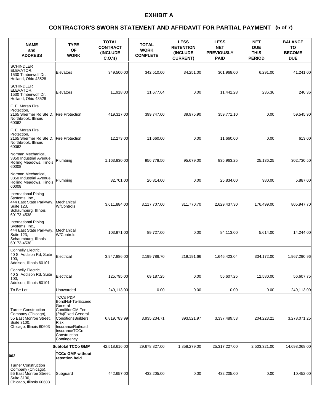### **(5 of 7) CONTRACTOR'S SWORN STATEMENT AND AFFIDAVIT FOR PARTIAL PAYMENT**

| <b>NAME</b><br>and<br><b>ADDRESS</b>                                                                                             | <b>TYPE</b><br><b>OF</b><br><b>WORK</b>                                                                                                                                                           | <b>TOTAL</b><br><b>CONTRACT</b><br>(INCLUDE<br>$C.O.'s$ ) | <b>TOTAL</b><br><b>WORK</b><br><b>COMPLETE</b> | <b>LESS</b><br><b>RETENTION</b><br>(INCLUDE<br><b>CURRENT)</b> | <b>LESS</b><br><b>NET</b><br><b>PREVIOUSLY</b><br><b>PAID</b> | <b>NET</b><br><b>DUE</b><br><b>THIS</b><br><b>PERIOD</b> | <b>BALANCE</b><br>TO<br><b>BECOME</b><br><b>DUE</b> |
|----------------------------------------------------------------------------------------------------------------------------------|---------------------------------------------------------------------------------------------------------------------------------------------------------------------------------------------------|-----------------------------------------------------------|------------------------------------------------|----------------------------------------------------------------|---------------------------------------------------------------|----------------------------------------------------------|-----------------------------------------------------|
| <b>SCHINDLER</b><br>ELEVATOR.<br>1530 Timberwolf Dr.<br>Holland, Ohio 43528                                                      | Elevators                                                                                                                                                                                         | 349,500.00                                                | 342,510.00                                     | 34,251.00                                                      | 301,968.00                                                    | 6,291.00                                                 | 41,241.00                                           |
| <b>SCHINDLER</b><br>ELEVATOR,<br>1530 Timberwolf Dr,<br>Holland, Ohio 43528                                                      | Elevators                                                                                                                                                                                         | 11,918.00                                                 | 11.677.64                                      | 0.00                                                           | 11,441.28                                                     | 236.36                                                   | 240.36                                              |
| F. E. Moran Fire<br>Protection,<br>2165 Shermer Rd Ste D,<br>Northbrook, Illinois<br>60062                                       | <b>Fire Protection</b>                                                                                                                                                                            | 419,317.00                                                | 399,747.00                                     | 39,975.90                                                      | 359,771.10                                                    | 0.00                                                     | 59,545.90                                           |
| F. E. Moran Fire<br>Protection.<br>2165 Shermer Rd Ste D,<br>Northbrook. Illinois<br>60062                                       | <b>Fire Protection</b>                                                                                                                                                                            | 12,273.00                                                 | 11,660.00                                      | 0.00                                                           | 11,660.00                                                     | 0.00                                                     | 613.00                                              |
| Norman Mechanical,<br>3850 Industrial Avenue,<br>Rolling Meadows, Illinois<br>60008                                              | Plumbing                                                                                                                                                                                          | 1,163,830.00                                              | 956,778.50                                     | 95,679.00                                                      | 835,963.25                                                    | 25,136.25                                                | 302.730.50                                          |
| Norman Mechanical,<br>3850 Industrial Avenue,<br>Rolling Meadows, Illinois<br>60008                                              | Plumbing                                                                                                                                                                                          | 32,701.00                                                 | 26.814.00                                      | 0.00                                                           | 25,834.00                                                     | 980.00                                                   | 5,887.00                                            |
| International Piping<br>Systems, Inc.,<br>444 East State Parkway, Mechanical<br>Suite 123,<br>Schaumburg, Illinois<br>60173-4538 | W/Controls                                                                                                                                                                                        | 3,611,884.00                                              | 3,117,707.00                                   | 311,770.70                                                     | 2,629,437.30                                                  | 176,499.00                                               | 805,947.70                                          |
| International Piping<br>Systems, Inc.,<br>444 East State Parkway, Mechanical<br>Suite 123,<br>Schaumburg, Illinois<br>60173-4538 | W/Controls                                                                                                                                                                                        | 103,971.00                                                | 89,727.00                                      | 0.00                                                           | 84,113.00                                                     | 5,614.00                                                 | 14,244.00                                           |
| Connelly Electric,<br>40 S. Addison Rd, Suite<br>100.<br>Addison, Illinois 60101                                                 | Electrical                                                                                                                                                                                        | 3,947,886.00                                              | 2,199,786.70                                   | 219,191.66                                                     | 1,646,423.04                                                  | 334,172.00                                               | 1,967,290.96                                        |
| Connelly Electric,<br>40 S. Addison Rd, Suite<br>100,<br>Addison, Illinois 60101                                                 | Electrical                                                                                                                                                                                        | 125,795.00                                                | 69,187.25                                      | 0.00                                                           | 56,607.25                                                     | 12,580.00                                                | 56,607.75                                           |
| To Be Let                                                                                                                        | Unawarded                                                                                                                                                                                         | 249,113.00                                                | 0.00                                           | 0.00                                                           | 0.00                                                          | 0.00                                                     | 249,113.00                                          |
| <b>Turner Construction</b><br>Company (Chicago),<br>55 East Monroe Street,<br>Suite 3100,<br>Chicago, Illinois 60603             | TCCo P&P<br>BondNot-To-Exceed<br>General<br><b>ConditionCM Fee</b><br>(2%)Fixed General<br><b>ConditionsBuilders</b><br>Risk<br>InsuranceRailroad<br>InsuranceTCCo<br>Construction<br>Contingency | 6,819,783.99                                              | 3,935,234.71                                   | 393,521.97                                                     | 3,337,489.53                                                  | 204,223.21                                               | 3,278,071.25                                        |
|                                                                                                                                  | <b>Subtotal TCCo GMP</b>                                                                                                                                                                          | 42,518,616.00                                             | 29,678,827.00                                  | 1,858,279.00                                                   | 25,317,227.00                                                 | 2,503,321.00                                             | 14,698,068.00                                       |
| 002                                                                                                                              | <b>TCCo GMP without</b><br>retention held                                                                                                                                                         |                                                           |                                                |                                                                |                                                               |                                                          |                                                     |
| <b>Turner Construction</b><br>Company (Chicago),<br>55 East Monroe Street,<br>Suite 3100,<br>Chicago, Illinois 60603             | Subguard                                                                                                                                                                                          | 442,657.00                                                | 432,205.00                                     | 0.00                                                           | 432,205.00                                                    | 0.00                                                     | 10,452.00                                           |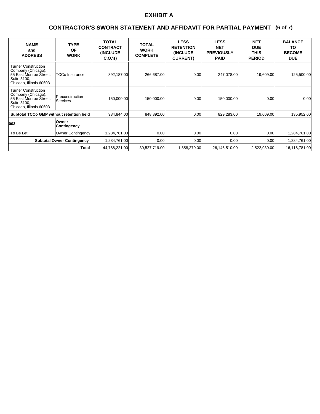### **(6 of 7) CONTRACTOR'S SWORN STATEMENT AND AFFIDAVIT FOR PARTIAL PAYMENT**

| <b>NAME</b><br>and<br><b>ADDRESS</b>                                                                                 | <b>TYPE</b><br><b>OF</b><br><b>WORK</b> | <b>TOTAL</b><br><b>CONTRACT</b><br><b>(INCLUDE)</b><br>C.0.'s) | <b>TOTAL</b><br><b>WORK</b><br><b>COMPLETE</b> | <b>LESS</b><br><b>RETENTION</b><br><b>(INCLUDE)</b><br><b>CURRENT)</b> | <b>LESS</b><br><b>NET</b><br><b>PREVIOUSLY</b><br><b>PAID</b> | <b>NET</b><br><b>DUE</b><br><b>THIS</b><br><b>PERIOD</b> | <b>BALANCE</b><br>ΤO<br><b>BECOME</b><br><b>DUE</b> |
|----------------------------------------------------------------------------------------------------------------------|-----------------------------------------|----------------------------------------------------------------|------------------------------------------------|------------------------------------------------------------------------|---------------------------------------------------------------|----------------------------------------------------------|-----------------------------------------------------|
| <b>Turner Construction</b><br>Company (Chicago),<br>55 East Monroe Street,<br>Suite 3100,<br>Chicago, Illinois 60603 | <b>TCCo Insurance</b>                   | 392,187.00                                                     | 266,687.00                                     | 0.00                                                                   | 247,078.00                                                    | 19,609.00                                                | 125,500.00                                          |
| <b>Turner Construction</b><br>Company (Chicago),<br>55 East Monroe Street,<br>Suite 3100,<br>Chicago, Illinois 60603 | Preconstruction<br><b>Services</b>      | 150,000.00                                                     | 150,000.00                                     | 0.00                                                                   | 150,000.00                                                    | 0.00                                                     | 0.00                                                |
| <b>Subtotal TCCo GMP without retention held</b>                                                                      |                                         | 984.844.00                                                     | 848,892.00                                     | 0.00                                                                   | 829,283.00                                                    | 19,609.00                                                | 135,952.00                                          |
| 003                                                                                                                  | Owner<br>Contingency                    |                                                                |                                                |                                                                        |                                                               |                                                          |                                                     |
| To Be Let                                                                                                            | <b>Owner Contingency</b>                | 1,284,761.00                                                   | 0.00 <sub>l</sub>                              | 0.00                                                                   | 0.001                                                         | 0.001                                                    | 1,284,761.00                                        |
|                                                                                                                      | <b>Subtotal Owner Contingency</b>       | 1,284,761.00                                                   | 0.00 <sub>l</sub>                              | 0.00                                                                   | 0.001                                                         | 0.001                                                    | 1,284,761.00                                        |
|                                                                                                                      | Total                                   | 44,788,221.00                                                  | 30,527,719.00                                  | 1,858,279.00                                                           | 26,146,510.00                                                 | 2,522,930.00                                             | 16,118,781.00                                       |